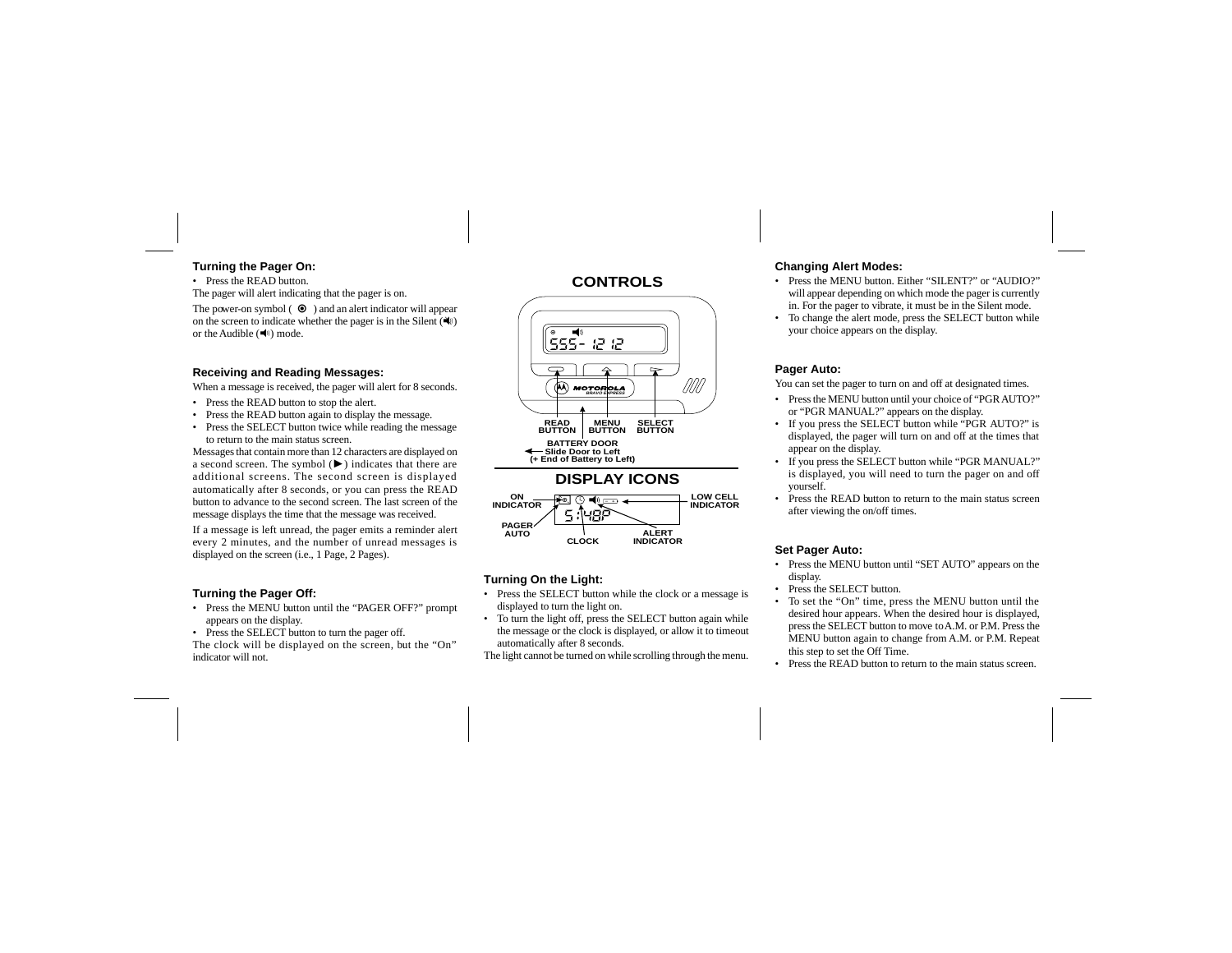#### **Turning the Pager On:**

- Press the READ button.
- The pager will alert indicating that the pager is on.

The power-on symbol  $(\odot)$  and an alert indicator will appear on the screen to indicate whether the pager is in the Silent  $(\vec{\bullet})$ or the Audible  $(\blacksquare)$  mode.

#### **Receiving and Reading Messages:**

When a message is received, the pager will alert for 8 seconds.

- Press the READ button to stop the alert.
- Press the READ button again to display the message.
- Press the SELECT button twice while reading the message to return to the main status screen.

Messages that contain more than 12 characters are displayed on a second screen. The symbol  $(\blacktriangleright)$  indicates that there are additional screens. The second screen is displayed automatically after 8 seconds, or you can press the READ button to advance to the second screen. The last screen of themessage displays the time that the message was received.

If a message is left unread, the pager emits a reminder alert every 2 minutes, and the number of unread messages is displayed on the screen (i.e., 1 Page, 2 Pages).

# **Turning the Pager Off:**

- Press the MENU button until the "PAGER OFF?" prompt appears on the display.
- Press the SELECT button to turn the pager off.

The clock will be displayed on the screen, but the "On" indicator will not.

# **CONTROLS**



# **Turning On the Light:**

- Press the SELECT button while the clock or a message is displayed to turn the light on.
- To turn the light off, press the SELECT button again while the message or the clock is displayed, or allow it to timeout automatically after 8 seconds.

The light cannot be turned on while scrolling through the menu.

#### **Changing Alert Modes:**

- Press the MENU button. Either "SILENT?" or "AUDIO?"will appear depending on which mode the pager is currently in. For the pager to vibrate, it must be in the Silent mode.
- To change the alert mode, press the SELECT button while your choice appears on the display.

#### **Pager Auto:**

You can set the pager to turn on and off at designated times.

- Press the MENU button until your choice of "PGR AUTO?" or "PGR MANUAL?" appears on the display.
- If you press the SELECT button while "PGR AUTO?" is displayed, the pager will turn on and off at the times that appear on the display.
- If you press the SELECT button while "PGR MANUAL?" is displayed, you will need to turn the pager on and off yourself.
- Press the READ button to return to the main status screen after viewing the on/off times.

# **Set Pager Auto:**

- Press the MENU button until "SET AUTO" appears on the display.
- Press the SELECT button.
- To set the "On" time, press the MENU button until the desired hour appears. When the desired hour is displayed, press the SELECT button to move to A.M. or P.M. Press the MENU button again to change from A.M. or P.M. Repeat this step to set the Off Time.
- Press the READ button to return to the main status screen.